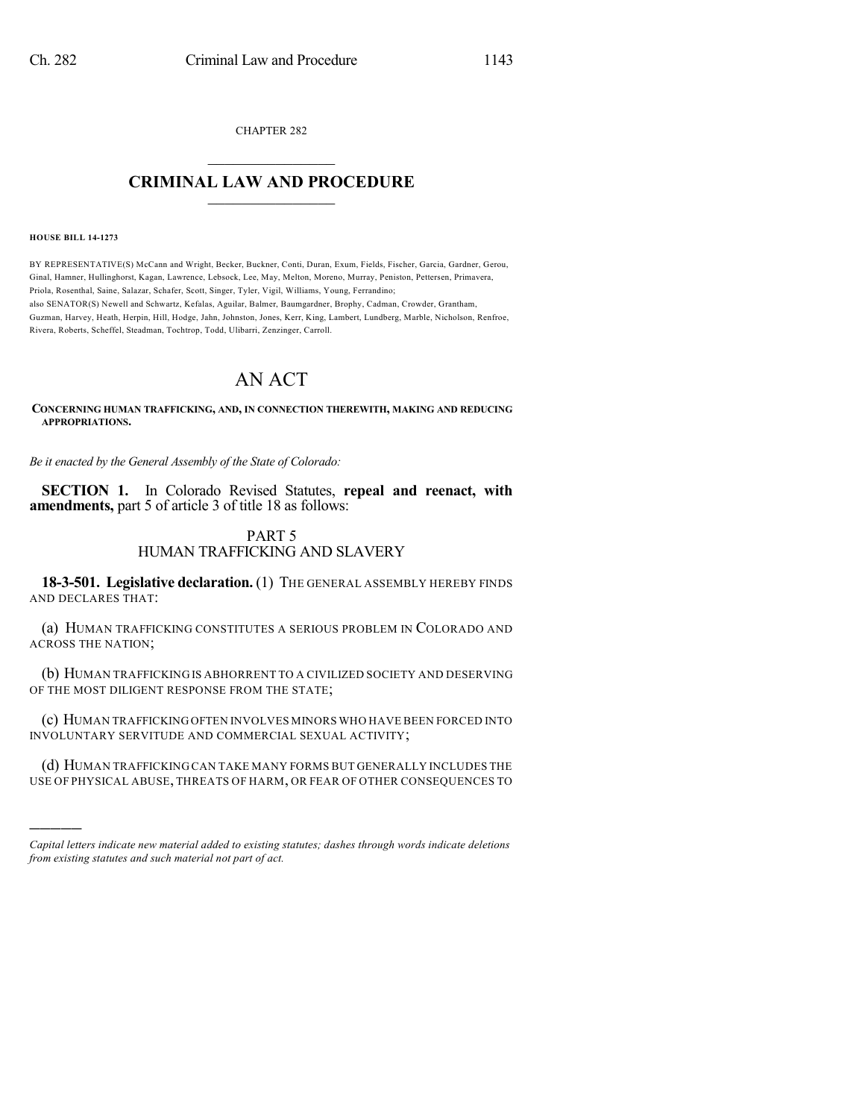CHAPTER 282

## $\overline{\phantom{a}}$  . The set of the set of the set of the set of the set of the set of the set of the set of the set of the set of the set of the set of the set of the set of the set of the set of the set of the set of the set o **CRIMINAL LAW AND PROCEDURE**  $\frac{1}{2}$  ,  $\frac{1}{2}$  ,  $\frac{1}{2}$  ,  $\frac{1}{2}$  ,  $\frac{1}{2}$  ,  $\frac{1}{2}$  ,  $\frac{1}{2}$

**HOUSE BILL 14-1273**

)))))

BY REPRESENTATIVE(S) McCann and Wright, Becker, Buckner, Conti, Duran, Exum, Fields, Fischer, Garcia, Gardner, Gerou, Ginal, Hamner, Hullinghorst, Kagan, Lawrence, Lebsock, Lee, May, Melton, Moreno, Murray, Peniston, Pettersen, Primavera, Priola, Rosenthal, Saine, Salazar, Schafer, Scott, Singer, Tyler, Vigil, Williams, Young, Ferrandino; also SENATOR(S) Newell and Schwartz, Kefalas, Aguilar, Balmer, Baumgardner, Brophy, Cadman, Crowder, Grantham, Guzman, Harvey, Heath, Herpin, Hill, Hodge, Jahn, Johnston, Jones, Kerr, King, Lambert, Lundberg, Marble, Nicholson, Renfroe, Rivera, Roberts, Scheffel, Steadman, Tochtrop, Todd, Ulibarri, Zenzinger, Carroll.

# AN ACT

**CONCERNING HUMAN TRAFFICKING, AND, IN CONNECTION THEREWITH, MAKING AND REDUCING APPROPRIATIONS.**

*Be it enacted by the General Assembly of the State of Colorado:*

**SECTION 1.** In Colorado Revised Statutes, **repeal and reenact, with amendments,** part 5 of article 3 of title 18 as follows:

## PART 5 HUMAN TRAFFICKING AND SLAVERY

**18-3-501. Legislative declaration.** (1) THE GENERAL ASSEMBLY HEREBY FINDS AND DECLARES THAT:

(a) HUMAN TRAFFICKING CONSTITUTES A SERIOUS PROBLEM IN COLORADO AND ACROSS THE NATION;

(b) HUMAN TRAFFICKING IS ABHORRENT TO A CIVILIZED SOCIETY AND DESERVING OF THE MOST DILIGENT RESPONSE FROM THE STATE;

(c) HUMAN TRAFFICKING OFTEN INVOLVES MINORS WHO HAVE BEEN FORCED INTO INVOLUNTARY SERVITUDE AND COMMERCIAL SEXUAL ACTIVITY;

(d) HUMAN TRAFFICKING CAN TAKE MANY FORMS BUT GENERALLY INCLUDES THE USE OF PHYSICAL ABUSE, THREATS OF HARM, OR FEAR OF OTHER CONSEQUENCES TO

*Capital letters indicate new material added to existing statutes; dashes through words indicate deletions from existing statutes and such material not part of act.*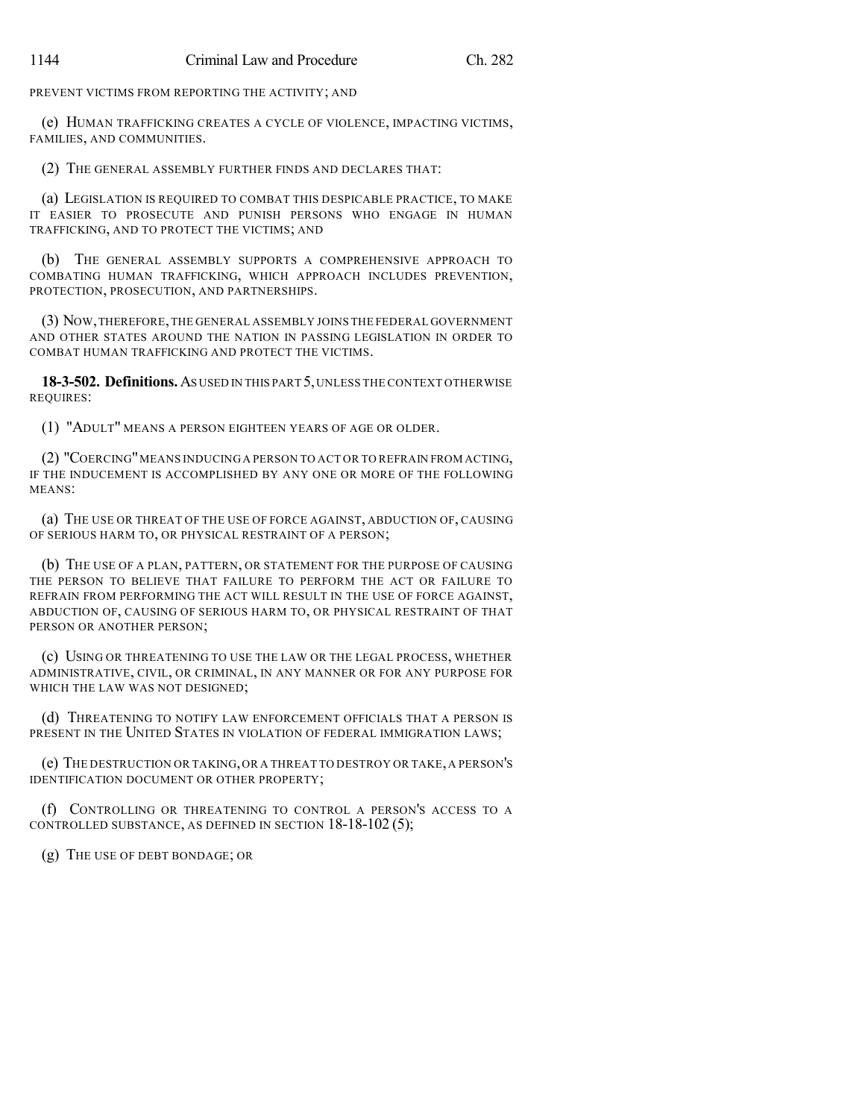PREVENT VICTIMS FROM REPORTING THE ACTIVITY; AND

(e) HUMAN TRAFFICKING CREATES A CYCLE OF VIOLENCE, IMPACTING VICTIMS, FAMILIES, AND COMMUNITIES.

(2) THE GENERAL ASSEMBLY FURTHER FINDS AND DECLARES THAT:

(a) LEGISLATION IS REQUIRED TO COMBAT THIS DESPICABLE PRACTICE, TO MAKE IT EASIER TO PROSECUTE AND PUNISH PERSONS WHO ENGAGE IN HUMAN TRAFFICKING, AND TO PROTECT THE VICTIMS; AND

(b) THE GENERAL ASSEMBLY SUPPORTS A COMPREHENSIVE APPROACH TO COMBATING HUMAN TRAFFICKING, WHICH APPROACH INCLUDES PREVENTION, PROTECTION, PROSECUTION, AND PARTNERSHIPS.

(3) NOW,THEREFORE,THE GENERAL ASSEMBLY JOINS THE FEDERAL GOVERNMENT AND OTHER STATES AROUND THE NATION IN PASSING LEGISLATION IN ORDER TO COMBAT HUMAN TRAFFICKING AND PROTECT THE VICTIMS.

**18-3-502. Definitions.**AS USED IN THIS PART 5,UNLESS THE CONTEXT OTHERWISE REQUIRES:

(1) "ADULT" MEANS A PERSON EIGHTEEN YEARS OF AGE OR OLDER.

(2) "COERCING"MEANS INDUCING A PERSON TO ACT OR TO REFRAIN FROM ACTING, IF THE INDUCEMENT IS ACCOMPLISHED BY ANY ONE OR MORE OF THE FOLLOWING MEANS:

(a) THE USE OR THREAT OF THE USE OF FORCE AGAINST, ABDUCTION OF, CAUSING OF SERIOUS HARM TO, OR PHYSICAL RESTRAINT OF A PERSON;

(b) THE USE OF A PLAN, PATTERN, OR STATEMENT FOR THE PURPOSE OF CAUSING THE PERSON TO BELIEVE THAT FAILURE TO PERFORM THE ACT OR FAILURE TO REFRAIN FROM PERFORMING THE ACT WILL RESULT IN THE USE OF FORCE AGAINST, ABDUCTION OF, CAUSING OF SERIOUS HARM TO, OR PHYSICAL RESTRAINT OF THAT PERSON OR ANOTHER PERSON;

(c) USING OR THREATENING TO USE THE LAW OR THE LEGAL PROCESS, WHETHER ADMINISTRATIVE, CIVIL, OR CRIMINAL, IN ANY MANNER OR FOR ANY PURPOSE FOR WHICH THE LAW WAS NOT DESIGNED;

(d) THREATENING TO NOTIFY LAW ENFORCEMENT OFFICIALS THAT A PERSON IS PRESENT IN THE UNITED STATES IN VIOLATION OF FEDERAL IMMIGRATION LAWS;

(e) THE DESTRUCTION OR TAKING,OR A THREAT TO DESTROY OR TAKE,A PERSON'S IDENTIFICATION DOCUMENT OR OTHER PROPERTY;

(f) CONTROLLING OR THREATENING TO CONTROL A PERSON'S ACCESS TO A CONTROLLED SUBSTANCE, AS DEFINED IN SECTION 18-18-102 (5);

(g) THE USE OF DEBT BONDAGE; OR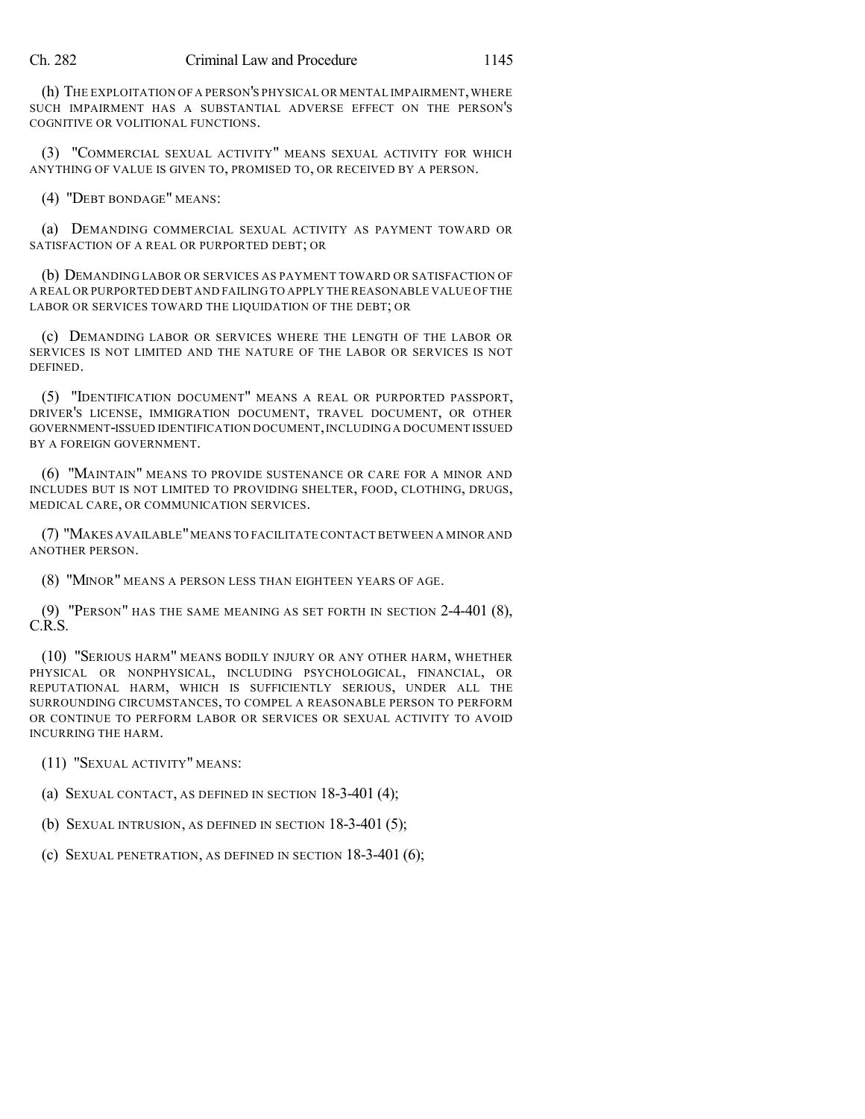(h) THE EXPLOITATION OF A PERSON'S PHYSICAL OR MENTAL IMPAIRMENT, WHERE SUCH IMPAIRMENT HAS A SUBSTANTIAL ADVERSE EFFECT ON THE PERSON'S COGNITIVE OR VOLITIONAL FUNCTIONS.

(3) "COMMERCIAL SEXUAL ACTIVITY" MEANS SEXUAL ACTIVITY FOR WHICH ANYTHING OF VALUE IS GIVEN TO, PROMISED TO, OR RECEIVED BY A PERSON.

(4) "DEBT BONDAGE" MEANS:

(a) DEMANDING COMMERCIAL SEXUAL ACTIVITY AS PAYMENT TOWARD OR SATISFACTION OF A REAL OR PURPORTED DEBT; OR

(b) DEMANDING LABOR OR SERVICES AS PAYMENT TOWARD OR SATISFACTION OF A REAL OR PURPORTED DEBT AND FAILING TO APPLY THE REASONABLE VALUE OF THE LABOR OR SERVICES TOWARD THE LIQUIDATION OF THE DEBT; OR

(c) DEMANDING LABOR OR SERVICES WHERE THE LENGTH OF THE LABOR OR SERVICES IS NOT LIMITED AND THE NATURE OF THE LABOR OR SERVICES IS NOT DEFINED.

(5) "IDENTIFICATION DOCUMENT" MEANS A REAL OR PURPORTED PASSPORT, DRIVER'S LICENSE, IMMIGRATION DOCUMENT, TRAVEL DOCUMENT, OR OTHER GOVERNMENT-ISSUED IDENTIFICATION DOCUMENT,INCLUDING A DOCUMENT ISSUED BY A FOREIGN GOVERNMENT.

(6) "MAINTAIN" MEANS TO PROVIDE SUSTENANCE OR CARE FOR A MINOR AND INCLUDES BUT IS NOT LIMITED TO PROVIDING SHELTER, FOOD, CLOTHING, DRUGS, MEDICAL CARE, OR COMMUNICATION SERVICES.

(7) "MAKES AVAILABLE"MEANS TO FACILITATE CONTACT BETWEEN A MINOR AND ANOTHER PERSON.

(8) "MINOR" MEANS A PERSON LESS THAN EIGHTEEN YEARS OF AGE.

(9) "PERSON" HAS THE SAME MEANING AS SET FORTH IN SECTION 2-4-401 (8), C.R.S.

(10) "SERIOUS HARM" MEANS BODILY INJURY OR ANY OTHER HARM, WHETHER PHYSICAL OR NONPHYSICAL, INCLUDING PSYCHOLOGICAL, FINANCIAL, OR REPUTATIONAL HARM, WHICH IS SUFFICIENTLY SERIOUS, UNDER ALL THE SURROUNDING CIRCUMSTANCES, TO COMPEL A REASONABLE PERSON TO PERFORM OR CONTINUE TO PERFORM LABOR OR SERVICES OR SEXUAL ACTIVITY TO AVOID INCURRING THE HARM.

(11) "SEXUAL ACTIVITY" MEANS:

(a) SEXUAL CONTACT, AS DEFINED IN SECTION 18-3-401 (4);

(b) SEXUAL INTRUSION, AS DEFINED IN SECTION 18-3-401 (5);

(c) SEXUAL PENETRATION, AS DEFINED IN SECTION 18-3-401 (6);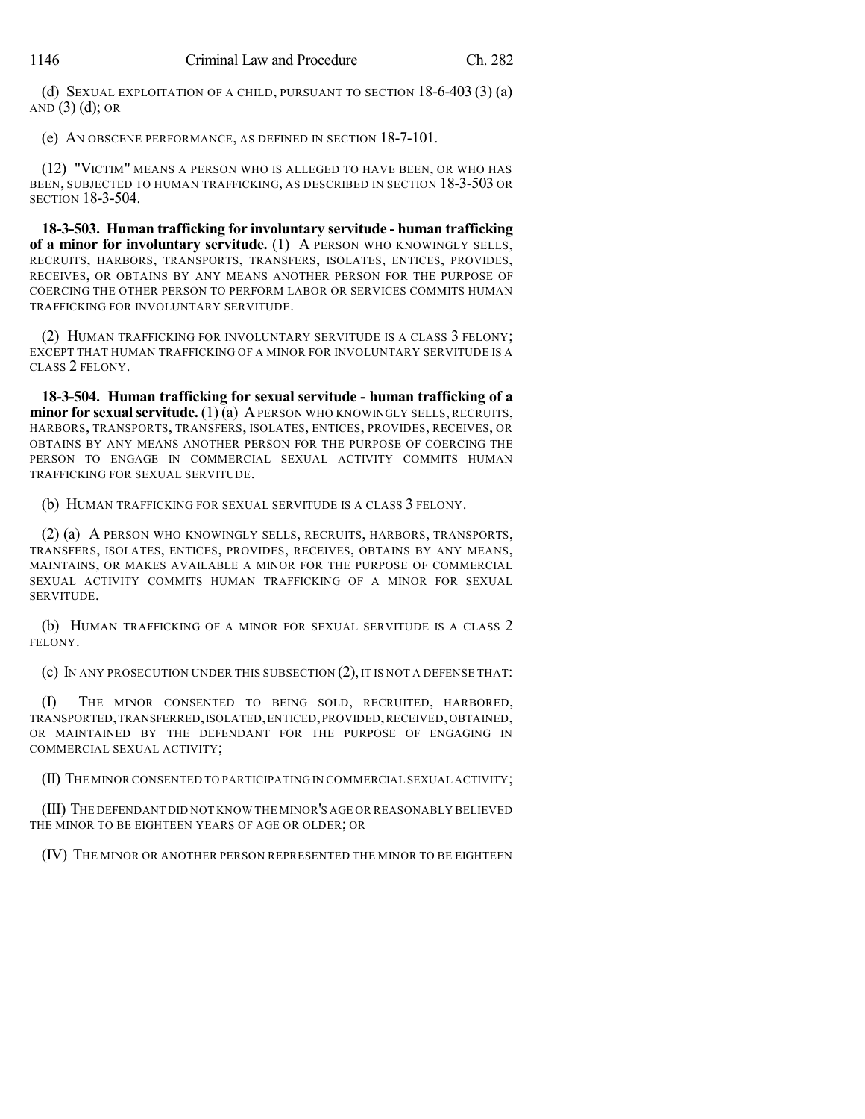(d) SEXUAL EXPLOITATION OF A CHILD, PURSUANT TO SECTION 18-6-403 (3) (a) AND  $(3)$   $(d)$ ; OR

(e) AN OBSCENE PERFORMANCE, AS DEFINED IN SECTION 18-7-101.

(12) "VICTIM" MEANS A PERSON WHO IS ALLEGED TO HAVE BEEN, OR WHO HAS BEEN, SUBJECTED TO HUMAN TRAFFICKING, AS DESCRIBED IN SECTION 18-3-503 OR SECTION 18-3-504.

**18-3-503. Human trafficking for involuntary servitude - human trafficking of a minor for involuntary servitude.** (1) A PERSON WHO KNOWINGLY SELLS, RECRUITS, HARBORS, TRANSPORTS, TRANSFERS, ISOLATES, ENTICES, PROVIDES, RECEIVES, OR OBTAINS BY ANY MEANS ANOTHER PERSON FOR THE PURPOSE OF COERCING THE OTHER PERSON TO PERFORM LABOR OR SERVICES COMMITS HUMAN TRAFFICKING FOR INVOLUNTARY SERVITUDE.

(2) HUMAN TRAFFICKING FOR INVOLUNTARY SERVITUDE IS A CLASS 3 FELONY; EXCEPT THAT HUMAN TRAFFICKING OF A MINOR FOR INVOLUNTARY SERVITUDE IS A CLASS 2 FELONY.

**18-3-504. Human trafficking for sexual servitude - human trafficking of a minor for sexual servitude.** (1) (a) A PERSON WHO KNOWINGLY SELLS, RECRUITS, HARBORS, TRANSPORTS, TRANSFERS, ISOLATES, ENTICES, PROVIDES, RECEIVES, OR OBTAINS BY ANY MEANS ANOTHER PERSON FOR THE PURPOSE OF COERCING THE PERSON TO ENGAGE IN COMMERCIAL SEXUAL ACTIVITY COMMITS HUMAN TRAFFICKING FOR SEXUAL SERVITUDE.

(b) HUMAN TRAFFICKING FOR SEXUAL SERVITUDE IS A CLASS 3 FELONY.

(2) (a) A PERSON WHO KNOWINGLY SELLS, RECRUITS, HARBORS, TRANSPORTS, TRANSFERS, ISOLATES, ENTICES, PROVIDES, RECEIVES, OBTAINS BY ANY MEANS, MAINTAINS, OR MAKES AVAILABLE A MINOR FOR THE PURPOSE OF COMMERCIAL SEXUAL ACTIVITY COMMITS HUMAN TRAFFICKING OF A MINOR FOR SEXUAL SERVITUDE.

(b) HUMAN TRAFFICKING OF A MINOR FOR SEXUAL SERVITUDE IS A CLASS 2 FELONY.

(c) IN ANY PROSECUTION UNDER THIS SUBSECTION  $(2)$ , IT IS NOT A DEFENSE THAT:

(I) THE MINOR CONSENTED TO BEING SOLD, RECRUITED, HARBORED, TRANSPORTED,TRANSFERRED,ISOLATED,ENTICED,PROVIDED,RECEIVED,OBTAINED, OR MAINTAINED BY THE DEFENDANT FOR THE PURPOSE OF ENGAGING IN COMMERCIAL SEXUAL ACTIVITY;

(II) THE MINOR CONSENTED TO PARTICIPATING IN COMMERCIAL SEXUAL ACTIVITY;

(III) THE DEFENDANT DID NOT KNOW THE MINOR'S AGE OR REASONABLY BELIEVED THE MINOR TO BE EIGHTEEN YEARS OF AGE OR OLDER; OR

(IV) THE MINOR OR ANOTHER PERSON REPRESENTED THE MINOR TO BE EIGHTEEN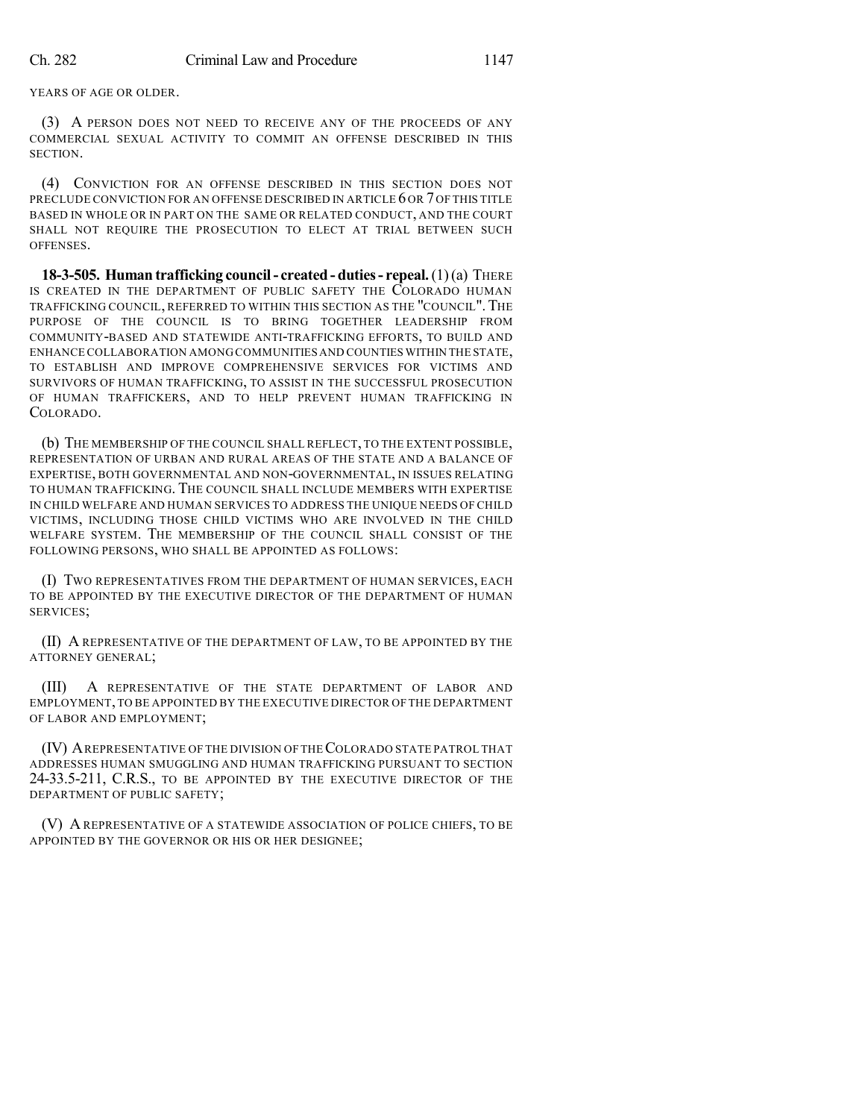YEARS OF AGE OR OLDER.

(3) A PERSON DOES NOT NEED TO RECEIVE ANY OF THE PROCEEDS OF ANY COMMERCIAL SEXUAL ACTIVITY TO COMMIT AN OFFENSE DESCRIBED IN THIS SECTION.

(4) CONVICTION FOR AN OFFENSE DESCRIBED IN THIS SECTION DOES NOT PRECLUDE CONVICTION FOR AN OFFENSE DESCRIBED IN ARTICLE 6 OR 7OF THIS TITLE BASED IN WHOLE OR IN PART ON THE SAME OR RELATED CONDUCT, AND THE COURT SHALL NOT REQUIRE THE PROSECUTION TO ELECT AT TRIAL BETWEEN SUCH **OFFENSES** 

**18-3-505. Human trafficking council- created - duties- repeal.**(1)(a) THERE IS CREATED IN THE DEPARTMENT OF PUBLIC SAFETY THE COLORADO HUMAN TRAFFICKING COUNCIL, REFERRED TO WITHIN THIS SECTION AS THE "COUNCIL".THE PURPOSE OF THE COUNCIL IS TO BRING TOGETHER LEADERSHIP FROM COMMUNITY-BASED AND STATEWIDE ANTI-TRAFFICKING EFFORTS, TO BUILD AND ENHANCE COLLABORATION AMONGCOMMUNITIES AND COUNTIES WITHIN THE STATE, TO ESTABLISH AND IMPROVE COMPREHENSIVE SERVICES FOR VICTIMS AND SURVIVORS OF HUMAN TRAFFICKING, TO ASSIST IN THE SUCCESSFUL PROSECUTION OF HUMAN TRAFFICKERS, AND TO HELP PREVENT HUMAN TRAFFICKING IN COLORADO.

(b) THE MEMBERSHIP OF THE COUNCIL SHALL REFLECT, TO THE EXTENT POSSIBLE, REPRESENTATION OF URBAN AND RURAL AREAS OF THE STATE AND A BALANCE OF EXPERTISE, BOTH GOVERNMENTAL AND NON-GOVERNMENTAL, IN ISSUES RELATING TO HUMAN TRAFFICKING. THE COUNCIL SHALL INCLUDE MEMBERS WITH EXPERTISE IN CHILD WELFARE AND HUMAN SERVICES TO ADDRESS THE UNIQUE NEEDS OF CHILD VICTIMS, INCLUDING THOSE CHILD VICTIMS WHO ARE INVOLVED IN THE CHILD WELFARE SYSTEM. THE MEMBERSHIP OF THE COUNCIL SHALL CONSIST OF THE FOLLOWING PERSONS, WHO SHALL BE APPOINTED AS FOLLOWS:

(I) TWO REPRESENTATIVES FROM THE DEPARTMENT OF HUMAN SERVICES, EACH TO BE APPOINTED BY THE EXECUTIVE DIRECTOR OF THE DEPARTMENT OF HUMAN SERVICES;

(II) A REPRESENTATIVE OF THE DEPARTMENT OF LAW, TO BE APPOINTED BY THE ATTORNEY GENERAL;

(III) A REPRESENTATIVE OF THE STATE DEPARTMENT OF LABOR AND EMPLOYMENT,TO BE APPOINTED BY THE EXECUTIVE DIRECTOR OF THE DEPARTMENT OF LABOR AND EMPLOYMENT;

(IV) AREPRESENTATIVE OF THE DIVISION OF THECOLORADO STATE PATROL THAT ADDRESSES HUMAN SMUGGLING AND HUMAN TRAFFICKING PURSUANT TO SECTION 24-33.5-211, C.R.S., TO BE APPOINTED BY THE EXECUTIVE DIRECTOR OF THE DEPARTMENT OF PUBLIC SAFETY;

(V) A REPRESENTATIVE OF A STATEWIDE ASSOCIATION OF POLICE CHIEFS, TO BE APPOINTED BY THE GOVERNOR OR HIS OR HER DESIGNEE;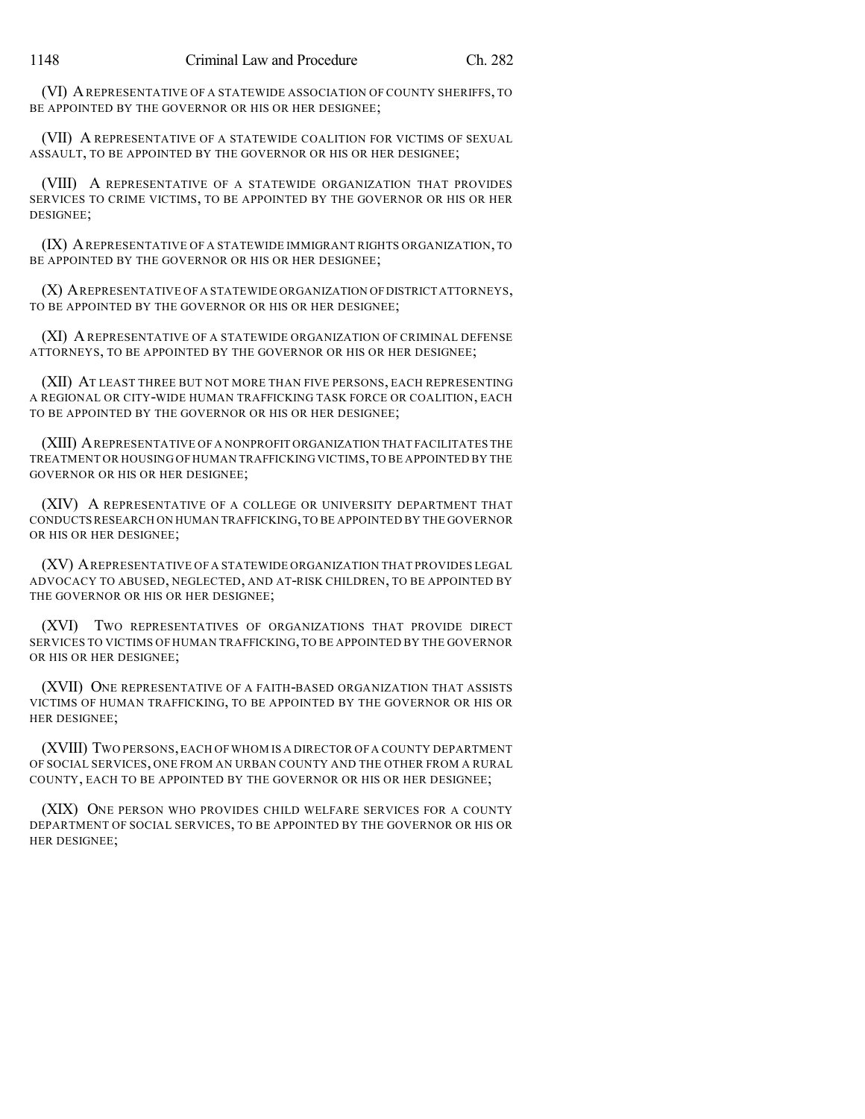(VI) AREPRESENTATIVE OF A STATEWIDE ASSOCIATION OF COUNTY SHERIFFS, TO BE APPOINTED BY THE GOVERNOR OR HIS OR HER DESIGNEE;

(VII) A REPRESENTATIVE OF A STATEWIDE COALITION FOR VICTIMS OF SEXUAL ASSAULT, TO BE APPOINTED BY THE GOVERNOR OR HIS OR HER DESIGNEE;

(VIII) A REPRESENTATIVE OF A STATEWIDE ORGANIZATION THAT PROVIDES SERVICES TO CRIME VICTIMS, TO BE APPOINTED BY THE GOVERNOR OR HIS OR HER DESIGNEE;

(IX) AREPRESENTATIVE OF A STATEWIDE IMMIGRANT RIGHTS ORGANIZATION, TO BE APPOINTED BY THE GOVERNOR OR HIS OR HER DESIGNEE;

(X) AREPRESENTATIVE OF A STATEWIDE ORGANIZATION OFDISTRICT ATTORNEYS, TO BE APPOINTED BY THE GOVERNOR OR HIS OR HER DESIGNEE;

(XI) A REPRESENTATIVE OF A STATEWIDE ORGANIZATION OF CRIMINAL DEFENSE ATTORNEYS, TO BE APPOINTED BY THE GOVERNOR OR HIS OR HER DESIGNEE;

(XII) AT LEAST THREE BUT NOT MORE THAN FIVE PERSONS, EACH REPRESENTING A REGIONAL OR CITY-WIDE HUMAN TRAFFICKING TASK FORCE OR COALITION, EACH TO BE APPOINTED BY THE GOVERNOR OR HIS OR HER DESIGNEE;

(XIII) AREPRESENTATIVE OF A NONPROFIT ORGANIZATION THAT FACILITATES THE TREATMENT OR HOUSING OF HUMAN TRAFFICKING VICTIMS,TO BE APPOINTED BY THE GOVERNOR OR HIS OR HER DESIGNEE;

(XIV) A REPRESENTATIVE OF A COLLEGE OR UNIVERSITY DEPARTMENT THAT CONDUCTSRESEARCH ON HUMAN TRAFFICKING,TO BE APPOINTED BY THE GOVERNOR OR HIS OR HER DESIGNEE;

(XV) AREPRESENTATIVE OF A STATEWIDE ORGANIZATION THAT PROVIDES LEGAL ADVOCACY TO ABUSED, NEGLECTED, AND AT-RISK CHILDREN, TO BE APPOINTED BY THE GOVERNOR OR HIS OR HER DESIGNEE;

(XVI) TWO REPRESENTATIVES OF ORGANIZATIONS THAT PROVIDE DIRECT SERVICES TO VICTIMS OF HUMAN TRAFFICKING,TO BE APPOINTED BY THE GOVERNOR OR HIS OR HER DESIGNEE;

(XVII) ONE REPRESENTATIVE OF A FAITH-BASED ORGANIZATION THAT ASSISTS VICTIMS OF HUMAN TRAFFICKING, TO BE APPOINTED BY THE GOVERNOR OR HIS OR HER DESIGNEE;

(XVIII) TWO PERSONS,EACH OF WHOM IS A DIRECTOR OF A COUNTY DEPARTMENT OF SOCIAL SERVICES, ONE FROM AN URBAN COUNTY AND THE OTHER FROM A RURAL COUNTY, EACH TO BE APPOINTED BY THE GOVERNOR OR HIS OR HER DESIGNEE;

(XIX) ONE PERSON WHO PROVIDES CHILD WELFARE SERVICES FOR A COUNTY DEPARTMENT OF SOCIAL SERVICES, TO BE APPOINTED BY THE GOVERNOR OR HIS OR HER DESIGNEE;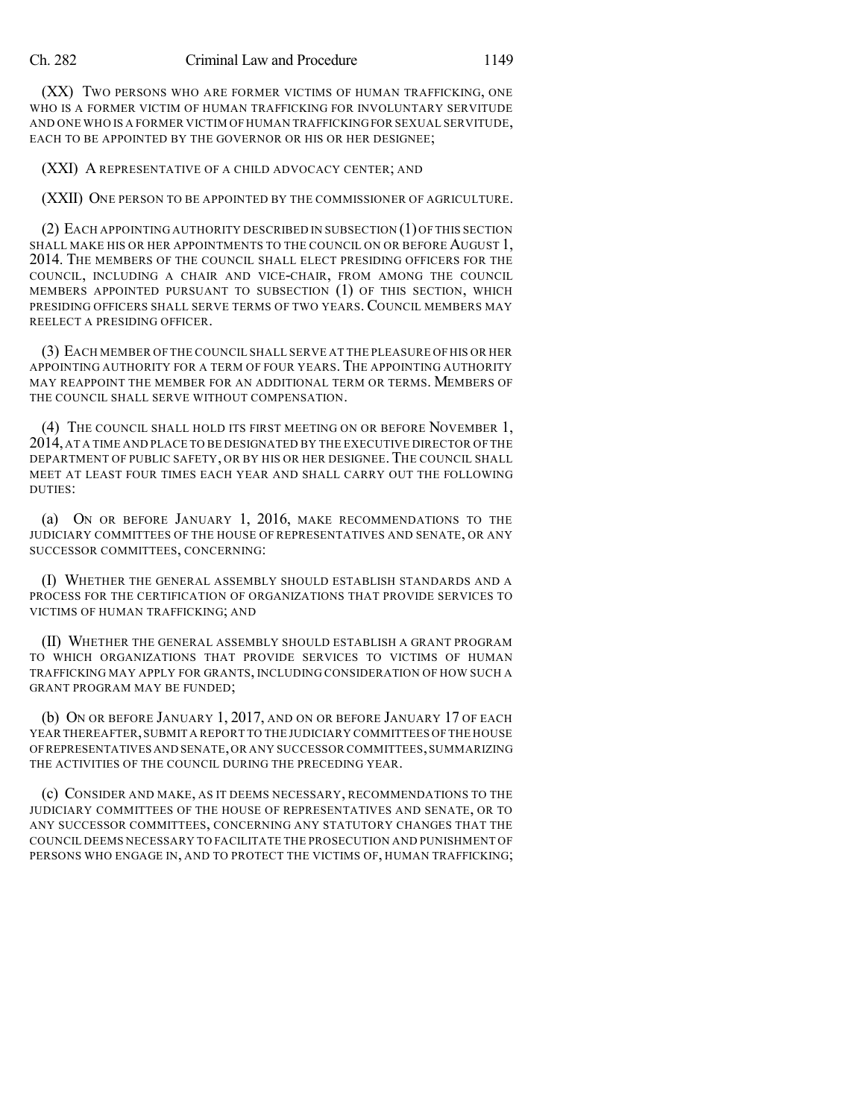(XX) TWO PERSONS WHO ARE FORMER VICTIMS OF HUMAN TRAFFICKING, ONE WHO IS A FORMER VICTIM OF HUMAN TRAFFICKING FOR INVOLUNTARY SERVITUDE AND ONE WHO IS A FORMER VICTIM OF HUMAN TRAFFICKINGFOR SEXUAL SERVITUDE, EACH TO BE APPOINTED BY THE GOVERNOR OR HIS OR HER DESIGNEE;

(XXI) A REPRESENTATIVE OF A CHILD ADVOCACY CENTER; AND

(XXII) ONE PERSON TO BE APPOINTED BY THE COMMISSIONER OF AGRICULTURE.

(2) EACH APPOINTING AUTHORITY DESCRIBED IN SUBSECTION (1)OF THIS SECTION SHALL MAKE HIS OR HER APPOINTMENTS TO THE COUNCIL ON OR BEFORE AUGUST 1, 2014. THE MEMBERS OF THE COUNCIL SHALL ELECT PRESIDING OFFICERS FOR THE COUNCIL, INCLUDING A CHAIR AND VICE-CHAIR, FROM AMONG THE COUNCIL MEMBERS APPOINTED PURSUANT TO SUBSECTION (1) OF THIS SECTION, WHICH PRESIDING OFFICERS SHALL SERVE TERMS OF TWO YEARS.COUNCIL MEMBERS MAY REELECT A PRESIDING OFFICER.

(3) EACH MEMBER OF THE COUNCIL SHALL SERVE AT THE PLEASURE OF HIS OR HER APPOINTING AUTHORITY FOR A TERM OF FOUR YEARS. THE APPOINTING AUTHORITY MAY REAPPOINT THE MEMBER FOR AN ADDITIONAL TERM OR TERMS. MEMBERS OF THE COUNCIL SHALL SERVE WITHOUT COMPENSATION.

(4) THE COUNCIL SHALL HOLD ITS FIRST MEETING ON OR BEFORE NOVEMBER 1, 2014, AT A TIME AND PLACE TO BE DESIGNATED BY THE EXECUTIVE DIRECTOR OF THE DEPARTMENT OF PUBLIC SAFETY, OR BY HIS OR HER DESIGNEE. THE COUNCIL SHALL MEET AT LEAST FOUR TIMES EACH YEAR AND SHALL CARRY OUT THE FOLLOWING DUTIES:

(a) ON OR BEFORE JANUARY 1, 2016, MAKE RECOMMENDATIONS TO THE JUDICIARY COMMITTEES OF THE HOUSE OF REPRESENTATIVES AND SENATE, OR ANY SUCCESSOR COMMITTEES, CONCERNING:

(I) WHETHER THE GENERAL ASSEMBLY SHOULD ESTABLISH STANDARDS AND A PROCESS FOR THE CERTIFICATION OF ORGANIZATIONS THAT PROVIDE SERVICES TO VICTIMS OF HUMAN TRAFFICKING; AND

(II) WHETHER THE GENERAL ASSEMBLY SHOULD ESTABLISH A GRANT PROGRAM TO WHICH ORGANIZATIONS THAT PROVIDE SERVICES TO VICTIMS OF HUMAN TRAFFICKING MAY APPLY FOR GRANTS, INCLUDING CONSIDERATION OF HOW SUCH A GRANT PROGRAM MAY BE FUNDED;

(b) ON OR BEFORE JANUARY 1, 2017, AND ON OR BEFORE JANUARY 17 OF EACH YEAR THEREAFTER,SUBMIT A REPORT TO THE JUDICIARY COMMITTEES OFTHE HOUSE OFREPRESENTATIVES AND SENATE,OR ANY SUCCESSOR COMMITTEES,SUMMARIZING THE ACTIVITIES OF THE COUNCIL DURING THE PRECEDING YEAR.

(c) CONSIDER AND MAKE, AS IT DEEMS NECESSARY, RECOMMENDATIONS TO THE JUDICIARY COMMITTEES OF THE HOUSE OF REPRESENTATIVES AND SENATE, OR TO ANY SUCCESSOR COMMITTEES, CONCERNING ANY STATUTORY CHANGES THAT THE COUNCIL DEEMS NECESSARY TO FACILITATE THE PROSECUTION AND PUNISHMENT OF PERSONS WHO ENGAGE IN, AND TO PROTECT THE VICTIMS OF, HUMAN TRAFFICKING;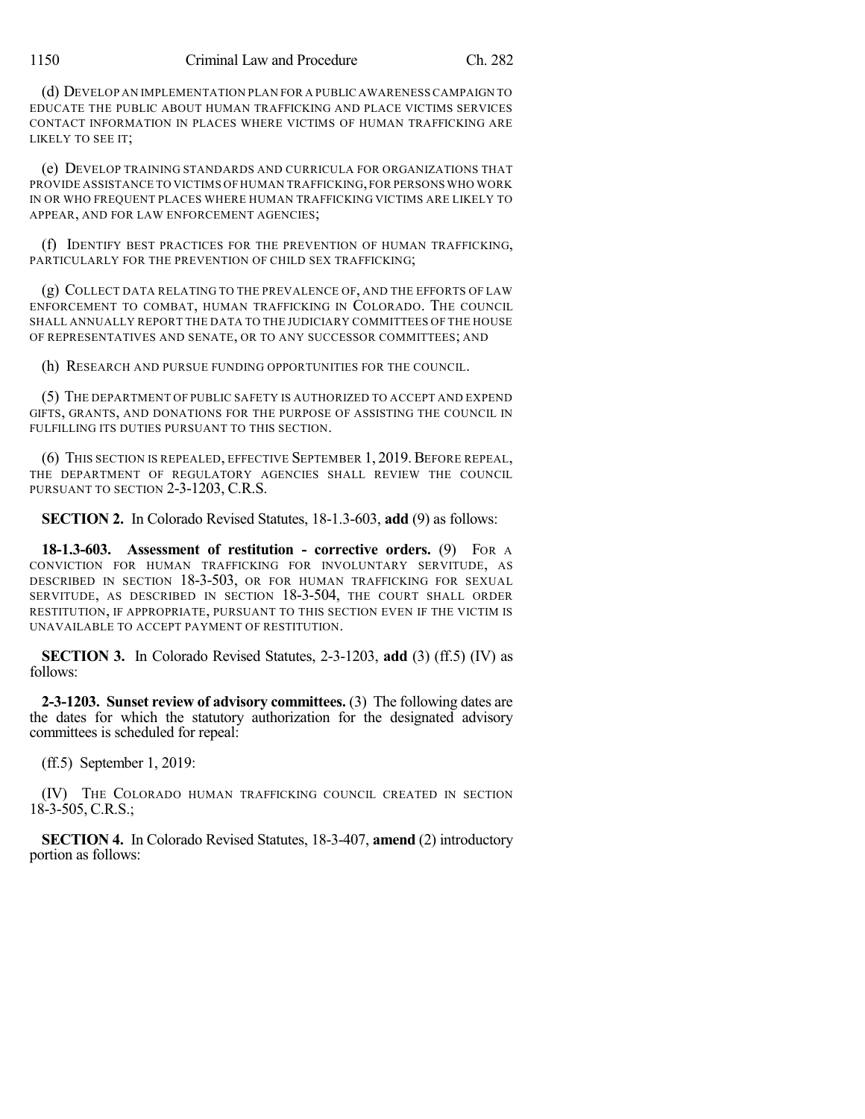(d) DEVELOP AN IMPLEMENTATION PLAN FOR A PUBLIC AWARENESS CAMPAIGN TO EDUCATE THE PUBLIC ABOUT HUMAN TRAFFICKING AND PLACE VICTIMS SERVICES CONTACT INFORMATION IN PLACES WHERE VICTIMS OF HUMAN TRAFFICKING ARE LIKELY TO SEE IT;

(e) DEVELOP TRAINING STANDARDS AND CURRICULA FOR ORGANIZATIONS THAT PROVIDE ASSISTANCE TO VICTIMS OF HUMAN TRAFFICKING,FOR PERSONSWHO WORK IN OR WHO FREQUENT PLACES WHERE HUMAN TRAFFICKING VICTIMS ARE LIKELY TO APPEAR, AND FOR LAW ENFORCEMENT AGENCIES;

(f) IDENTIFY BEST PRACTICES FOR THE PREVENTION OF HUMAN TRAFFICKING, PARTICULARLY FOR THE PREVENTION OF CHILD SEX TRAFFICKING;

(g) COLLECT DATA RELATING TO THE PREVALENCE OF, AND THE EFFORTS OF LAW ENFORCEMENT TO COMBAT, HUMAN TRAFFICKING IN COLORADO. THE COUNCIL SHALL ANNUALLY REPORT THE DATA TO THE JUDICIARY COMMITTEES OF THE HOUSE OF REPRESENTATIVES AND SENATE, OR TO ANY SUCCESSOR COMMITTEES; AND

(h) RESEARCH AND PURSUE FUNDING OPPORTUNITIES FOR THE COUNCIL.

(5) THE DEPARTMENT OF PUBLIC SAFETY IS AUTHORIZED TO ACCEPT AND EXPEND GIFTS, GRANTS, AND DONATIONS FOR THE PURPOSE OF ASSISTING THE COUNCIL IN FULFILLING ITS DUTIES PURSUANT TO THIS SECTION.

(6) THIS SECTION IS REPEALED, EFFECTIVE SEPTEMBER 1, 2019.BEFORE REPEAL, THE DEPARTMENT OF REGULATORY AGENCIES SHALL REVIEW THE COUNCIL PURSUANT TO SECTION 2-3-1203, C.R.S.

**SECTION 2.** In Colorado Revised Statutes, 18-1.3-603, **add** (9) as follows:

**18-1.3-603. Assessment of restitution - corrective orders.** (9) FOR A CONVICTION FOR HUMAN TRAFFICKING FOR INVOLUNTARY SERVITUDE, AS DESCRIBED IN SECTION 18-3-503, OR FOR HUMAN TRAFFICKING FOR SEXUAL SERVITUDE, AS DESCRIBED IN SECTION 18-3-504, THE COURT SHALL ORDER RESTITUTION, IF APPROPRIATE, PURSUANT TO THIS SECTION EVEN IF THE VICTIM IS UNAVAILABLE TO ACCEPT PAYMENT OF RESTITUTION.

**SECTION 3.** In Colorado Revised Statutes, 2-3-1203, **add** (3) (ff.5) (IV) as follows:

**2-3-1203. Sunset review of advisory committees.** (3) The following dates are the dates for which the statutory authorization for the designated advisory committees is scheduled for repeal:

(ff.5) September 1, 2019:

(IV) THE COLORADO HUMAN TRAFFICKING COUNCIL CREATED IN SECTION 18-3-505, C.R.S.;

**SECTION 4.** In Colorado Revised Statutes, 18-3-407, **amend** (2) introductory portion as follows: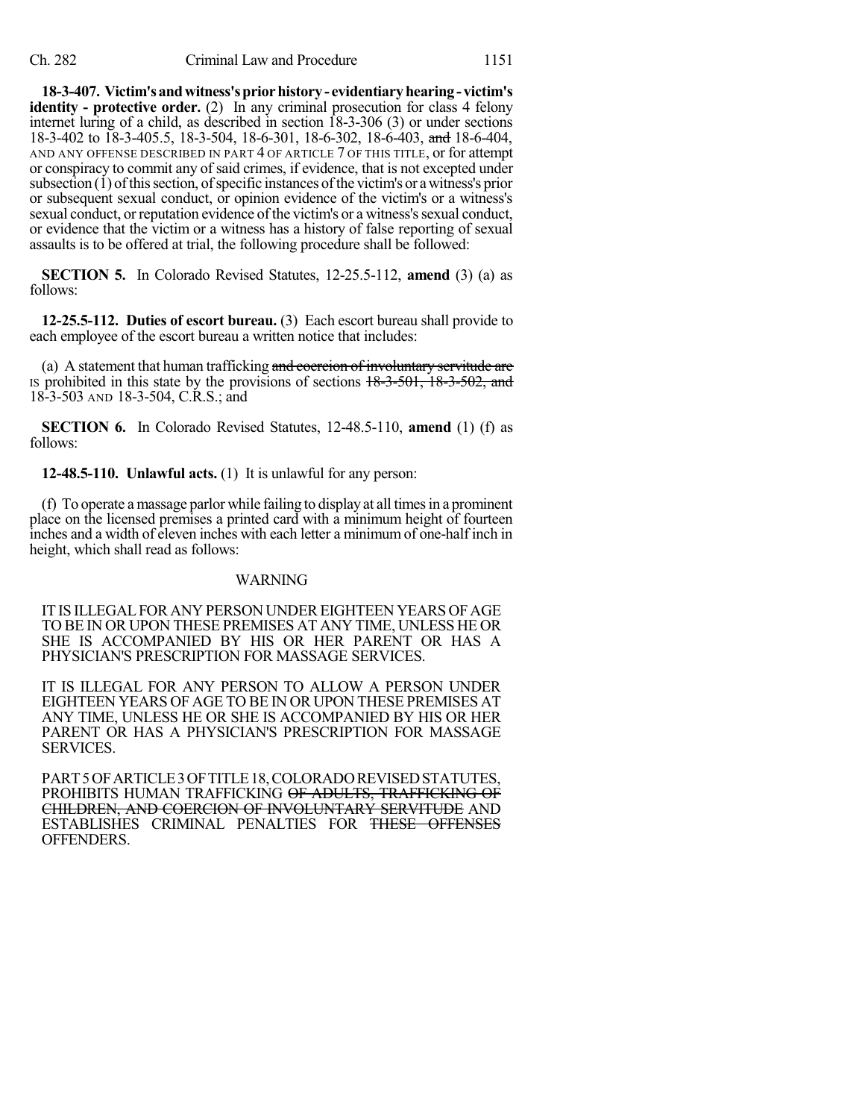**18-3-407. Victim'sandwitness'spriorhistory- evidentiaryhearing- victim's identity - protective order.** (2) In any criminal prosecution for class 4 felony internet luring of a child, as described in section 18-3-306 (3) or under sections 18-3-402 to 18-3-405.5, 18-3-504, 18-6-301, 18-6-302, 18-6-403, and 18-6-404, AND ANY OFFENSE DESCRIBED IN PART 4 OF ARTICLE 7 OF THIS TITLE, or for attempt or conspiracy to commit any of said crimes, if evidence, that is not excepted under subsection  $(1)$  of this section, of specific instances of the victim's or a witness's prior or subsequent sexual conduct, or opinion evidence of the victim's or a witness's sexual conduct, or reputation evidence of the victim's or a witness's sexual conduct, or evidence that the victim or a witness has a history of false reporting of sexual assaults is to be offered at trial, the following procedure shall be followed:

**SECTION 5.** In Colorado Revised Statutes, 12-25.5-112, **amend** (3) (a) as follows:

**12-25.5-112. Duties of escort bureau.** (3) Each escort bureau shall provide to each employee of the escort bureau a written notice that includes:

(a) A statement that human trafficking and coercion of involuntary servitude are IS prohibited in this state by the provisions of sections  $18-3-501$ ,  $18-3-502$ , and 18-3-503 AND 18-3-504, C.R.S.; and

**SECTION 6.** In Colorado Revised Statutes, 12-48.5-110, **amend** (1) (f) as follows:

**12-48.5-110. Unlawful acts.** (1) It is unlawful for any person:

(f) To operate a massage parlor while failing to displayat all timesin a prominent place on the licensed premises a printed card with a minimum height of fourteen inches and a width of eleven inches with each letter a minimum of one-half inch in height, which shall read as follows:

#### WARNING

IT IS ILLEGAL FOR ANY PERSON UNDER EIGHTEEN YEARS OF AGE TO BE IN OR UPON THESE PREMISES AT ANY TIME, UNLESS HE OR SHE IS ACCOMPANIED BY HIS OR HER PARENT OR HAS A PHYSICIAN'S PRESCRIPTION FOR MASSAGE SERVICES.

IT IS ILLEGAL FOR ANY PERSON TO ALLOW A PERSON UNDER EIGHTEEN YEARS OF AGE TO BE IN OR UPON THESE PREMISES AT ANY TIME, UNLESS HE OR SHE IS ACCOMPANIED BY HIS OR HER PARENT OR HAS A PHYSICIAN'S PRESCRIPTION FOR MASSAGE SERVICES.

PART5OFARTICLE3OFTITLE18,COLORADOREVISEDSTATUTES, PROHIBITS HUMAN TRAFFICKING OF ADULTS, TRAFFICKING OF CHILDREN, AND COERCION OF INVOLUNTARY SERVITUDE AND ESTABLISHES CRIMINAL PENALTIES FOR THESE OFFENSES OFFENDERS.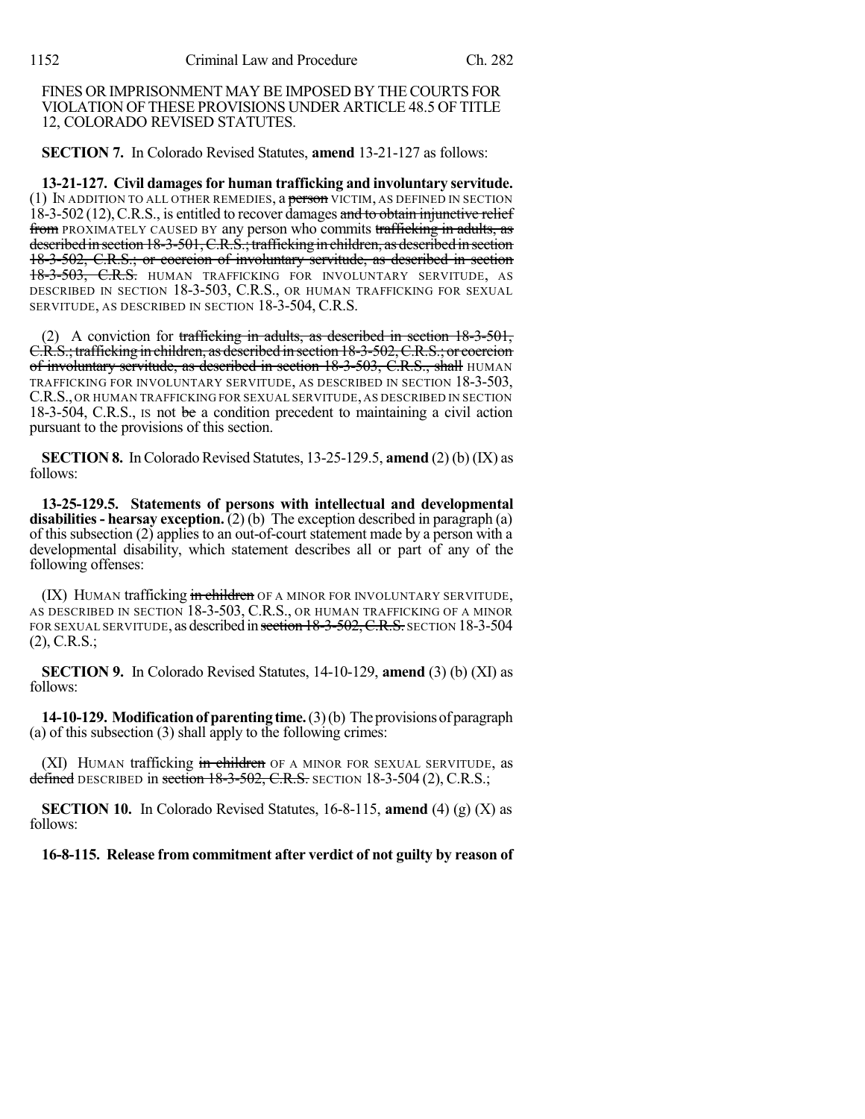FINES OR IMPRISONMENT MAY BE IMPOSED BY THE COURTS FOR VIOLATION OFTHESE PROVISIONS UNDER ARTICLE 48.5 OF TITLE 12, COLORADO REVISED STATUTES.

**SECTION 7.** In Colorado Revised Statutes, **amend** 13-21-127 as follows:

**13-21-127. Civil damagesfor human trafficking and involuntary servitude.** (1) IN ADDITION TO ALL OTHER REMEDIES, a person VICTIM, AS DEFINED IN SECTION 18-3-502 (12), C.R.S., is entitled to recover damages and to obtain injunctive relief from PROXIMATELY CAUSED BY any person who commits trafficking in adults, as described in section 18-3-501, C.R.S.; trafficking in children, as described in section 18-3-502, C.R.S.; or coercion of involuntary servitude, as described in section 18-3-503, C.R.S. HUMAN TRAFFICKING FOR INVOLUNTARY SERVITUDE, AS DESCRIBED IN SECTION 18-3-503, C.R.S., OR HUMAN TRAFFICKING FOR SEXUAL SERVITUDE, AS DESCRIBED IN SECTION 18-3-504, C.R.S.

(2) A conviction for trafficking in adults, as described in section 18-3-501, C.R.S.;trafficking in children, as described in section 18-3-502,C.R.S.; or coercion of involuntary servitude, as described in section 18-3-503, C.R.S., shall HUMAN TRAFFICKING FOR INVOLUNTARY SERVITUDE, AS DESCRIBED IN SECTION 18-3-503, C.R.S., OR HUMAN TRAFFICKING FOR SEXUAL SERVITUDE, AS DESCRIBED IN SECTION 18-3-504, C.R.S., IS not be a condition precedent to maintaining a civil action pursuant to the provisions of this section.

**SECTION 8.** In Colorado Revised Statutes, 13-25-129.5, **amend** (2) (b) (IX) as follows:

**13-25-129.5. Statements of persons with intellectual and developmental disabilities- hearsay exception.** (2) (b) The exception described in paragraph (a) of this subsection (2) applies to an out-of-court statement made by a person with a developmental disability, which statement describes all or part of any of the following offenses:

(IX) HUMAN trafficking in children OF A MINOR FOR INVOLUNTARY SERVITUDE, AS DESCRIBED IN SECTION 18-3-503, C.R.S., OR HUMAN TRAFFICKING OF A MINOR FOR SEXUAL SERVITUDE, as described in section 18-3-502, C.R.S. SECTION 18-3-504 (2), C.R.S.;

**SECTION 9.** In Colorado Revised Statutes, 14-10-129, **amend** (3) (b) (XI) as follows:

**14-10-129. Modification of parenting time.** (3)(b) The provisions of paragraph (a) of this subsection (3) shall apply to the following crimes:

(XI) HUMAN trafficking in children OF A MINOR FOR SEXUAL SERVITUDE, as defined DESCRIBED in section  $18-3-502$ , C.R.S. SECTION 18-3-504 (2), C.R.S.;

**SECTION 10.** In Colorado Revised Statutes, 16-8-115, **amend** (4) (g) (X) as follows:

**16-8-115. Release from commitment after verdict of not guilty by reason of**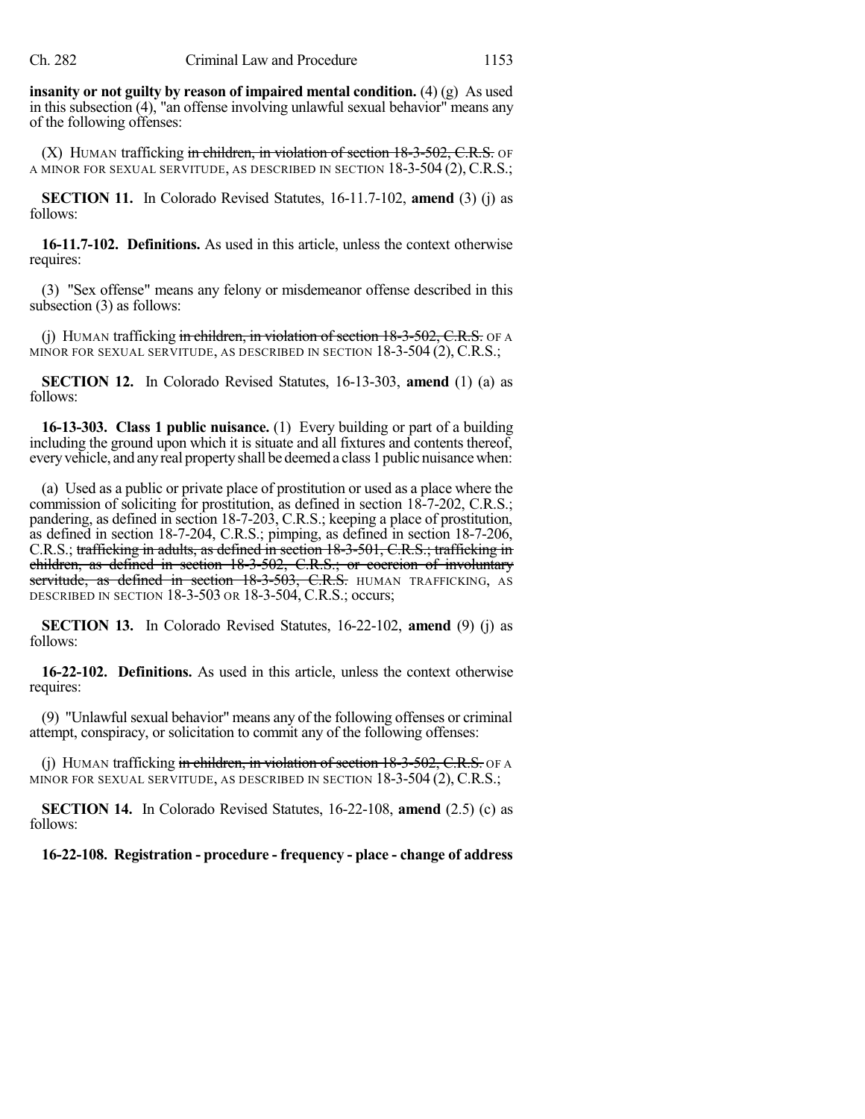**insanity or not guilty by reason of impaired mental condition.** (4) (g) As used in this subsection (4), "an offense involving unlawful sexual behavior" means any of the following offenses:

 $(X)$  HUMAN trafficking in children, in violation of section  $18-3-502$ , C.R.S. OF A MINOR FOR SEXUAL SERVITUDE, AS DESCRIBED IN SECTION 18-3-504 (2), C.R.S.;

**SECTION 11.** In Colorado Revised Statutes, 16-11.7-102, **amend** (3) (j) as follows:

**16-11.7-102. Definitions.** As used in this article, unless the context otherwise requires:

(3) "Sex offense" means any felony or misdemeanor offense described in this subsection (3) as follows:

(j) HUMAN trafficking in children, in violation of section  $18-3-502$ , C.R.S. OF A MINOR FOR SEXUAL SERVITUDE, AS DESCRIBED IN SECTION 18-3-504 (2), C.R.S.;

**SECTION 12.** In Colorado Revised Statutes, 16-13-303, **amend** (1) (a) as follows:

**16-13-303. Class 1 public nuisance.** (1) Every building or part of a building including the ground upon which it is situate and all fixtures and contents thereof, everyvehicle, and anyreal propertyshall be deemed a class 1 public nuisancewhen:

(a) Used as a public or private place of prostitution or used as a place where the commission of soliciting for prostitution, as defined in section 18-7-202, C.R.S.; pandering, as defined in section 18-7-203, C.R.S.; keeping a place of prostitution, as defined in section 18-7-204, C.R.S.; pimping, as defined in section 18-7-206, C.R.S.; trafficking in adults, as defined in section 18-3-501, C.R.S.; trafficking in children, as defined in section 18-3-502, C.R.S.; or coercion of involuntary servitude, as defined in section 18-3-503, C.R.S. HUMAN TRAFFICKING, AS DESCRIBED IN SECTION 18-3-503 OR 18-3-504, C.R.S.; occurs;

**SECTION 13.** In Colorado Revised Statutes, 16-22-102, **amend** (9) (j) as follows:

**16-22-102. Definitions.** As used in this article, unless the context otherwise requires:

(9) "Unlawful sexual behavior" means any of the following offenses or criminal attempt, conspiracy, or solicitation to commit any of the following offenses:

(j) HUMAN trafficking in children, in violation of section  $18-3-502$ , C.R.S. OF A MINOR FOR SEXUAL SERVITUDE, AS DESCRIBED IN SECTION 18-3-504 (2), C.R.S.;

**SECTION 14.** In Colorado Revised Statutes, 16-22-108, **amend** (2.5) (c) as follows:

**16-22-108. Registration - procedure - frequency - place - change of address**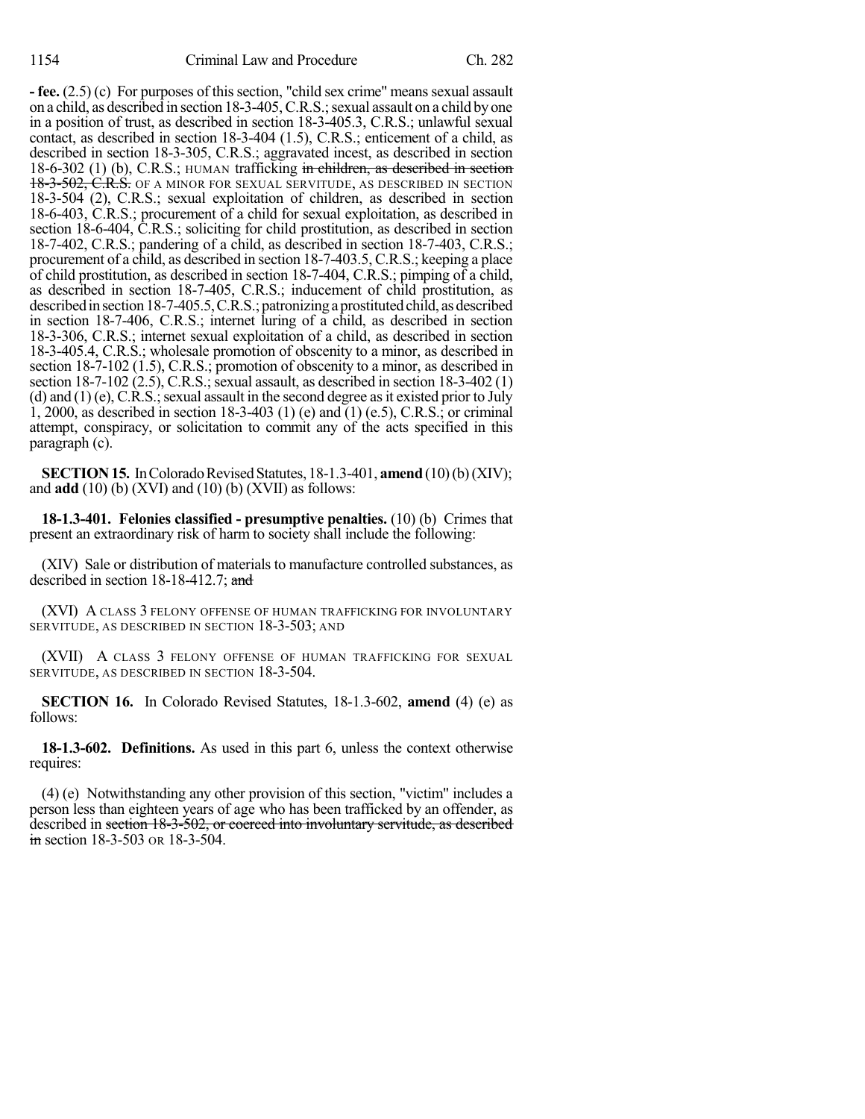**- fee.**  $(2.5)$  (c) For purposes of this section, "child sex crime" means sexual assault on a child, as described in section 18-3-405,C.R.S.;sexual assault on a child byone in a position of trust, as described in section 18-3-405.3, C.R.S.; unlawful sexual contact, as described in section 18-3-404 (1.5), C.R.S.; enticement of a child, as described in section 18-3-305, C.R.S.; aggravated incest, as described in section 18-6-302 (1) (b), C.R.S.; HUMAN trafficking in children, as described in section 18-3-502, C.R.S. OF A MINOR FOR SEXUAL SERVITUDE, AS DESCRIBED IN SECTION 18-3-504 (2), C.R.S.; sexual exploitation of children, as described in section 18-6-403, C.R.S.; procurement of a child for sexual exploitation, as described in section 18-6-404, C.R.S.; soliciting for child prostitution, as described in section 18-7-402, C.R.S.; pandering of a child, as described in section 18-7-403, C.R.S.; procurement of a child, as described in section 18-7-403.5, C.R.S.; keeping a place of child prostitution, as described in section 18-7-404, C.R.S.; pimping of a child, as described in section 18-7-405, C.R.S.; inducement of child prostitution, as described in section 18-7-405.5, C.R.S.; patronizing a prostituted child, as described in section 18-7-406, C.R.S.; internet luring of a child, as described in section 18-3-306, C.R.S.; internet sexual exploitation of a child, as described in section 18-3-405.4, C.R.S.; wholesale promotion of obscenity to a minor, as described in section 18-7-102 (1.5), C.R.S.; promotion of obscenity to a minor, as described in section  $18-7-102$  (2.5), C.R.S.; sexual assault, as described in section  $18-3-402$  (1) (d) and  $(1)$  (e), C.R.S.; sexual assault in the second degree as it existed prior to July 1, 2000, as described in section 18-3-403 (1) (e) and (1) (e.5), C.R.S.; or criminal attempt, conspiracy, or solicitation to commit any of the acts specified in this paragraph (c).

**SECTION 15.** In Colorado Revised Statutes, 18-1.3-401, **amend** (10)(b)(XIV); and **add** (10) (b) (XVI) and (10) (b) (XVII) as follows:

**18-1.3-401. Felonies classified - presumptive penalties.** (10) (b) Crimes that present an extraordinary risk of harm to society shall include the following:

(XIV) Sale or distribution of materials to manufacture controlled substances, as described in section 18-18-412.7; and

(XVI) A CLASS 3 FELONY OFFENSE OF HUMAN TRAFFICKING FOR INVOLUNTARY SERVITUDE, AS DESCRIBED IN SECTION 18-3-503; AND

(XVII) A CLASS 3 FELONY OFFENSE OF HUMAN TRAFFICKING FOR SEXUAL SERVITUDE, AS DESCRIBED IN SECTION 18-3-504.

**SECTION 16.** In Colorado Revised Statutes, 18-1.3-602, **amend** (4) (e) as follows:

**18-1.3-602. Definitions.** As used in this part 6, unless the context otherwise requires:

(4) (e) Notwithstanding any other provision of this section, "victim" includes a person less than eighteen years of age who has been trafficked by an offender, as described in section 18-3-502, or coerced into involuntary servitude, as described in section 18-3-503 OR 18-3-504.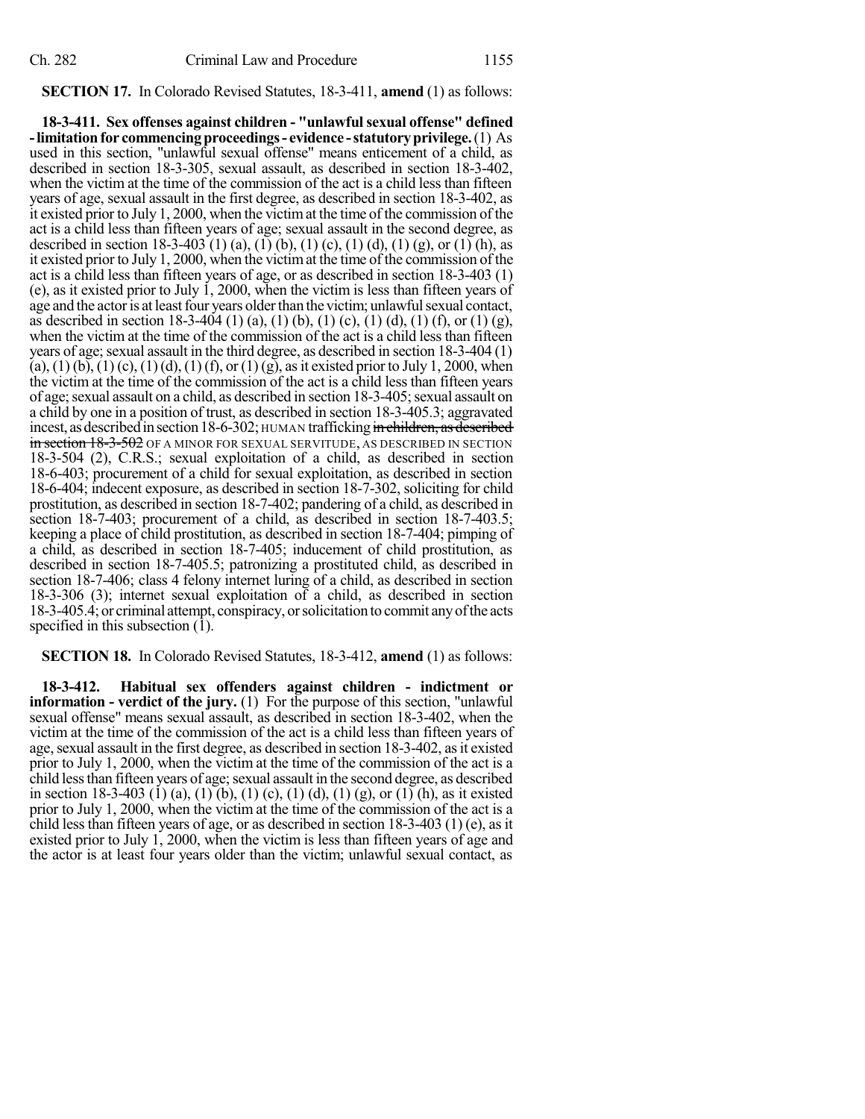### **SECTION 17.** In Colorado Revised Statutes, 18-3-411, **amend** (1) as follows:

**18-3-411. Sex offenses against children - "unlawfulsexual offense" defined -limitationfor commencingproceedings- evidence -statutoryprivilege.**(1) As used in this section, "unlawful sexual offense" means enticement of a child, as described in section 18-3-305, sexual assault, as described in section 18-3-402, when the victim at the time of the commission of the act is a child less than fifteen years of age, sexual assault in the first degree, as described in section 18-3-402, as it existed prior to July 1, 2000, when the victimat the time of the commission of the act is a child less than fifteen years of age; sexual assault in the second degree, as described in section 18-3-403 (1) (a), (1) (b), (1) (c), (1) (d), (1) (g), or (1) (h), as it existed prior to July 1, 2000, when the victimat the time of the commission of the act is a child less than fifteen years of age, or as described in section 18-3-403 (1) (e), as it existed prior to July 1, 2000, when the victim is less than fifteen years of age and the actor is at least four years older than the victim; unlawful sexual contact, as described in section 18-3-404 (1) (a), (1) (b), (1) (c), (1) (d), (1) (f), or (1) (g), when the victim at the time of the commission of the act is a child less than fifteen years of age; sexual assault in the third degree, as described in section  $18-3-404(1)$  $(a)$ ,  $(1)$   $(b)$ ,  $(1)$   $(c)$ ,  $(1)$   $(d)$ ,  $(1)$   $(f)$ , or  $(1)$   $(g)$ , as it existed prior to July 1, 2000, when the victim at the time of the commission of the act is a child less than fifteen years of age; sexual assault on a child, as described in section 18-3-405; sexual assault on a child by one in a position of trust, as described in section 18-3-405.3; aggravated incest, as described in section 18-6-302; HUMAN trafficking in children, as described in section 18-3-502 OF A MINOR FOR SEXUAL SERVITUDE, AS DESCRIBED IN SECTION 18-3-504 (2), C.R.S.; sexual exploitation of a child, as described in section 18-6-403; procurement of a child for sexual exploitation, as described in section 18-6-404; indecent exposure, as described in section 18-7-302, soliciting for child prostitution, as described in section 18-7-402; pandering of a child, as described in section 18-7-403; procurement of a child, as described in section 18-7-403.5; keeping a place of child prostitution, as described in section 18-7-404; pimping of a child, as described in section 18-7-405; inducement of child prostitution, as described in section 18-7-405.5; patronizing a prostituted child, as described in section 18-7-406; class 4 felony internet luring of a child, as described in section 18-3-306 (3); internet sexual exploitation of a child, as described in section 18-3-405.4; or criminal attempt, conspiracy, orsolicitation to commit anyofthe acts specified in this subsection (1).

#### **SECTION 18.** In Colorado Revised Statutes, 18-3-412, **amend** (1) as follows:

**18-3-412. Habitual sex offenders against children - indictment or information - verdict of the jury.** (1) For the purpose of this section, "unlawful sexual offense" means sexual assault, as described in section 18-3-402, when the victim at the time of the commission of the act is a child less than fifteen years of age, sexual assault in the first degree, as described in section 18-3-402, as it existed prior to July 1, 2000, when the victim at the time of the commission of the act is a child less than fifteen years of age; sexual assault in the second degree, as described in section 18-3-403 (1) (a), (1) (b), (1) (c), (1) (d), (1) (g), or (1) (h), as it existed prior to July 1, 2000, when the victim at the time of the commission of the act is a child less than fifteen years of age, or as described in section  $18-3-403$  (1) (e), as it existed prior to July 1, 2000, when the victim is less than fifteen years of age and the actor is at least four years older than the victim; unlawful sexual contact, as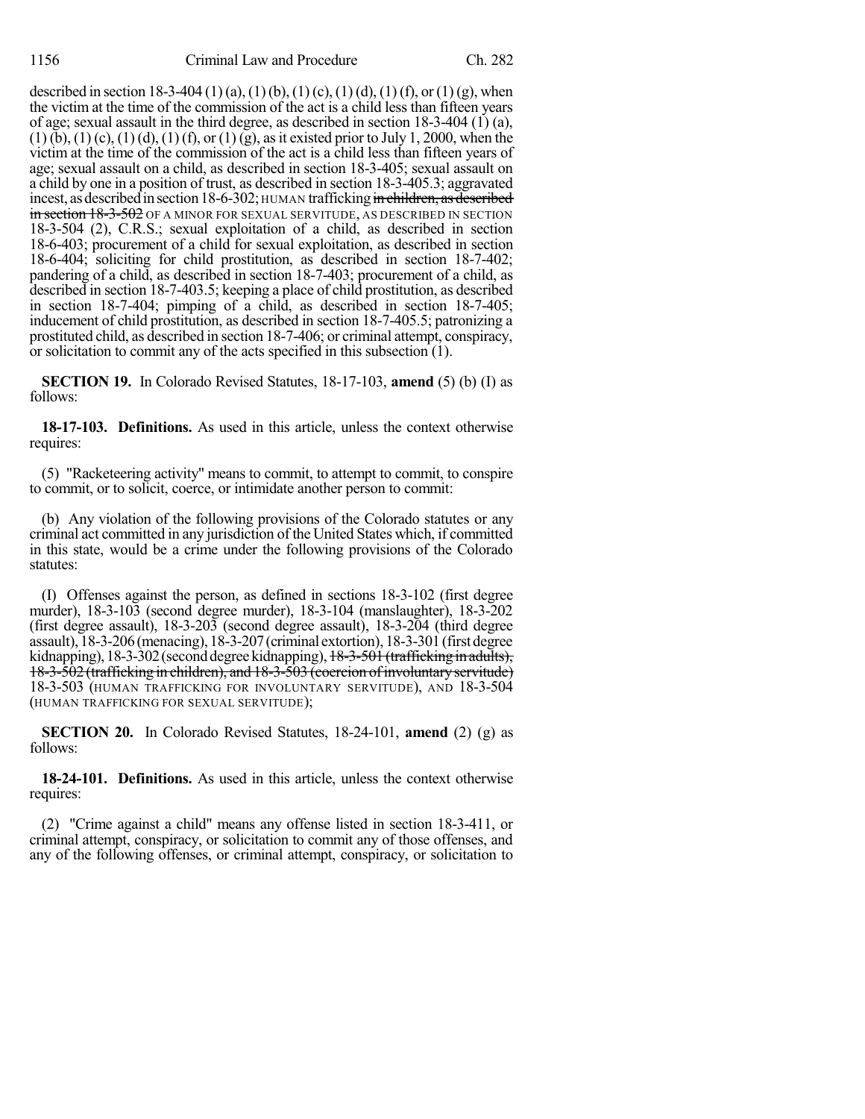described in section 18-3-404 (1) (a), (1) (b), (1) (c), (1) (d), (1) (f), or (1) (g), when the victim at the time of the commission of the act is a child less than fifteen years of age; sexual assault in the third degree, as described in section 18-3-404 (1) (a),  $(1)$  (b),  $(1)$  (c),  $(1)$  (d),  $(1)$  (f), or  $(1)$  (g), as it existed prior to July 1, 2000, when the victim at the time of the commission of the act is a child less than fifteen years of age; sexual assault on a child, as described in section 18-3-405; sexual assault on a child by one in a position of trust, as described in section 18-3-405.3; aggravated incest, as described in section 18-6-302; HUMAN trafficking in children, as described in section 18-3-502 OF A MINOR FOR SEXUAL SERVITUDE, AS DESCRIBED IN SECTION 18-3-504 (2), C.R.S.; sexual exploitation of a child, as described in section 18-6-403; procurement of a child for sexual exploitation, as described in section 18-6-404; soliciting for child prostitution, as described in section 18-7-402; pandering of a child, as described in section 18-7-403; procurement of a child, as described in section 18-7-403.5; keeping a place of child prostitution, as described in section 18-7-404; pimping of a child, as described in section 18-7-405; inducement of child prostitution, as described in section 18-7-405.5; patronizing a prostituted child, as described in section 18-7-406; or criminal attempt, conspiracy, or solicitation to commit any of the acts specified in this subsection  $(1)$ .

**SECTION 19.** In Colorado Revised Statutes, 18-17-103, **amend** (5) (b) (I) as follows:

**18-17-103. Definitions.** As used in this article, unless the context otherwise requires:

(5) "Racketeering activity" means to commit, to attempt to commit, to conspire to commit, or to solicit, coerce, or intimidate another person to commit:

(b) Any violation of the following provisions of the Colorado statutes or any criminal act committed in any jurisdiction of the United States which, if committed in this state, would be a crime under the following provisions of the Colorado statutes:

(I) Offenses against the person, as defined in sections 18-3-102 (first degree murder), 18-3-103 (second degree murder), 18-3-104 (manslaughter), 18-3-202 (first degree assault), 18-3-203 (second degree assault), 18-3-204 (third degree assault), 18-3-206(menacing), 18-3-207(criminal extortion), 18-3-301(first degree kidnapping), 18-3-302 (second degree kidnapping), <del>18-3-501 (trafficking in adults),</del> 18-3-502 (trafficking in children), and 18-3-503 (coercion ofinvoluntaryservitude) 18-3-503 (HUMAN TRAFFICKING FOR INVOLUNTARY SERVITUDE), AND 18-3-504 (HUMAN TRAFFICKING FOR SEXUAL SERVITUDE);

**SECTION 20.** In Colorado Revised Statutes, 18-24-101, **amend** (2) (g) as follows:

**18-24-101. Definitions.** As used in this article, unless the context otherwise requires:

(2) "Crime against a child" means any offense listed in section 18-3-411, or criminal attempt, conspiracy, or solicitation to commit any of those offenses, and any of the following offenses, or criminal attempt, conspiracy, or solicitation to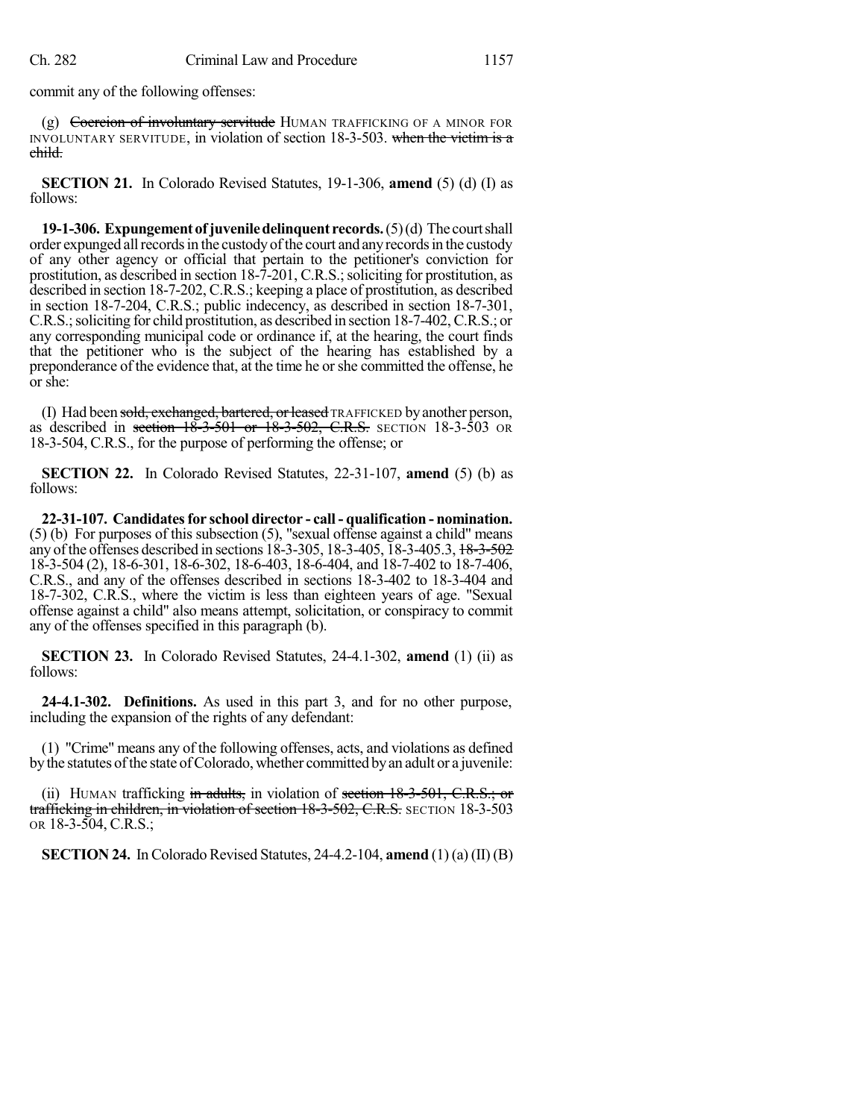commit any of the following offenses:

 $(g)$  Coercion of involuntary servitude HUMAN TRAFFICKING OF A MINOR FOR INVOLUNTARY SERVITUDE, in violation of section 18-3-503. when the victim is a child.

**SECTION 21.** In Colorado Revised Statutes, 19-1-306, **amend** (5) (d) (I) as follows:

**19-1-306. Expungementofjuveniledelinquent records.**(5)(d) The courtshall order expunged all records in the custody of the court and any records in the custody of any other agency or official that pertain to the petitioner's conviction for prostitution, as described in section 18-7-201, C.R.S.; soliciting for prostitution, as described in section 18-7-202, C.R.S.; keeping a place of prostitution, as described in section 18-7-204, C.R.S.; public indecency, as described in section 18-7-301, C.R.S.;soliciting for child prostitution, as described in section 18-7-402,C.R.S.; or any corresponding municipal code or ordinance if, at the hearing, the court finds that the petitioner who is the subject of the hearing has established by a preponderance of the evidence that, at the time he orshe committed the offense, he or she:

(I) Had been sold, exchanged, bartered, or leased TRAFFICKED by another person, as described in section  $18-3-501$  or  $18-3-502$ , C.R.S. SECTION 18-3-503 OR 18-3-504, C.R.S., for the purpose of performing the offense; or

**SECTION 22.** In Colorado Revised Statutes, 22-31-107, **amend** (5) (b) as follows:

**22-31-107. Candidatesfor school director - call - qualification - nomination.** (5) (b) For purposes of this subsection (5), "sexual offense against a child" means any of the offenses described in sections 18-3-305, 18-3-405, 18-3-405.3, <del>18-3-502</del> 18-3-504 (2), 18-6-301, 18-6-302, 18-6-403, 18-6-404, and 18-7-402 to 18-7-406, C.R.S., and any of the offenses described in sections 18-3-402 to 18-3-404 and 18-7-302, C.R.S., where the victim is less than eighteen years of age. "Sexual offense against a child" also means attempt, solicitation, or conspiracy to commit any of the offenses specified in this paragraph (b).

**SECTION 23.** In Colorado Revised Statutes, 24-4.1-302, **amend** (1) (ii) as follows:

**24-4.1-302. Definitions.** As used in this part 3, and for no other purpose, including the expansion of the rights of any defendant:

(1) "Crime" means any of the following offenses, acts, and violations as defined bythe statutes ofthe state ofColorado, whether committed byan adult or a juvenile:

(ii) HUMAN trafficking in adults, in violation of section  $18-3-501$ , C.R.S.; or trafficking in children, in violation of section 18-3-502, C.R.S. SECTION 18-3-503 OR 18-3-504, C.R.S.;

**SECTION 24.** In Colorado Revised Statutes,  $24-4.2-104$ , **amend**  $(1)(a)$  (II) (B)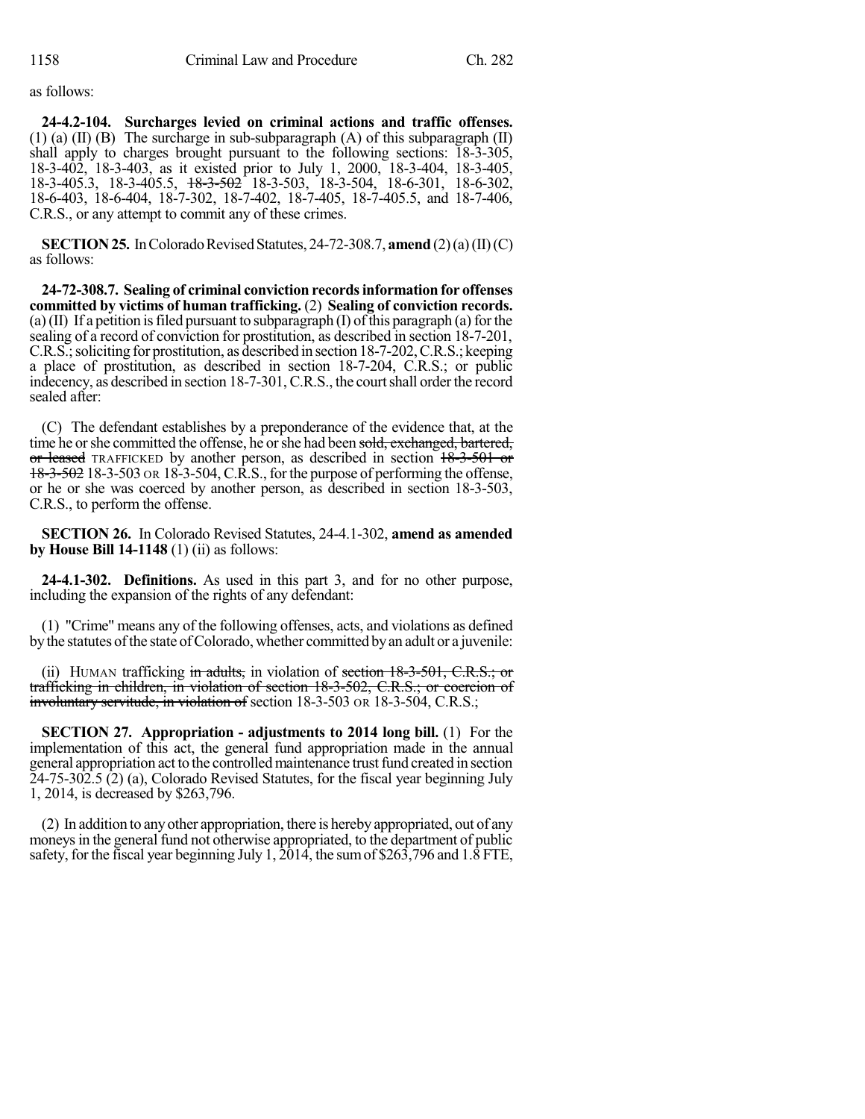as follows:

**24-4.2-104. Surcharges levied on criminal actions and traffic offenses.** (1) (a)  $(II)$  (B) The surcharge in sub-subparagraph  $(A)$  of this subparagraph  $(II)$ shall apply to charges brought pursuant to the following sections: 18-3-305, 18-3-402, 18-3-403, as it existed prior to July 1, 2000, 18-3-404, 18-3-405, 18-3-405.3, 18-3-405.5, 18-3-502 18-3-503, 18-3-504, 18-6-301, 18-6-302, 18-6-403, 18-6-404, 18-7-302, 18-7-402, 18-7-405, 18-7-405.5, and 18-7-406, C.R.S., or any attempt to commit any of these crimes.

**SECTION 25.** In Colorado Revised Statutes, 24-72-308.7, **amend** (2)(a)(II)(C) as follows:

**24-72-308.7. Sealing of criminal conviction recordsinformation for offenses committed by victims of human trafficking.** (2) **Sealing of conviction records.** (a) (II) If a petition is filed pursuant to subparagraph (I) of this paragraph (a) for the sealing of a record of conviction for prostitution, as described in section 18-7-201, C.R.S.; soliciting for prostitution, as described in section 18-7-202, C.R.S.; keeping a place of prostitution, as described in section 18-7-204, C.R.S.; or public indecency, as described in section 18-7-301, C.R.S., the court shall order the record sealed after:

(C) The defendant establishes by a preponderance of the evidence that, at the time he or she committed the offense, he or she had been sold, exchanged, bartered, or leased TRAFFICKED by another person, as described in section 18-3-501 or 18-3-502 18-3-503 OR 18-3-504, C.R.S., for the purpose of performing the offense, or he or she was coerced by another person, as described in section 18-3-503, C.R.S., to perform the offense.

**SECTION 26.** In Colorado Revised Statutes, 24-4.1-302, **amend as amended by House Bill 14-1148** (1) (ii) as follows:

**24-4.1-302. Definitions.** As used in this part 3, and for no other purpose, including the expansion of the rights of any defendant:

(1) "Crime" means any of the following offenses, acts, and violations as defined by the statutes of the state of Colorado, whether committed by an adult or a juvenile:

(ii) HUMAN trafficking in adults, in violation of section  $18-3-501$ , C.R.S.; or trafficking in children, in violation of section 18-3-502, C.R.S.; or coercion of involuntary servitude, in violation of section 18-3-503 OR 18-3-504, C.R.S.;

**SECTION 27. Appropriation - adjustments to 2014 long bill.** (1) For the implementation of this act, the general fund appropriation made in the annual general appropriation act to the controlled maintenance trust fund created in section 24-75-302.5 (2) (a), Colorado Revised Statutes, for the fiscal year beginning July 1, 2014, is decreased by \$263,796.

(2) In addition to anyother appropriation, there is hereby appropriated, out of any moneys in the general fund not otherwise appropriated, to the department of public safety, for the fiscal year beginning July 1,  $\frac{2014}{9}$ , the sum of \$263,796 and 1.8 FTE,